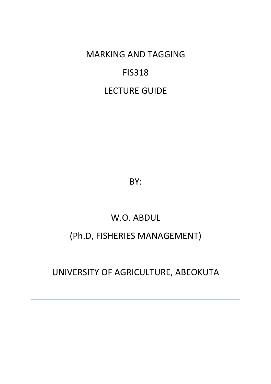MARKING AND TAGGING

## FIS318

## LECTURE GUIDE

BY:

# W.O. ABDUL

## (Ph.D, FISHERIES MANAGEMENT)

## UNIVERSITY OF AGRICULTURE, ABEOKUTA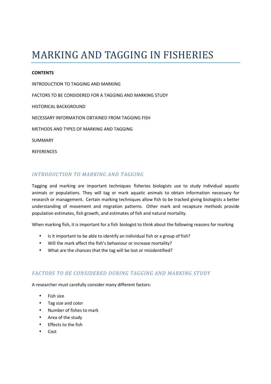# MARKING AND TAGGING IN FISHERIES

#### **CONTENTS**

INTRODUCTION TO TAGGING AND MARKING FACTORS TO BE CONSIDERED FOR A TAGGING AND MARKING STUDY HISTORICAL BACKGROUND NECESSARY INFORMATION OBTAINED FROM TAGGING FISH METHODS AND TYPES OF MARKING AND TAGGING SUMMARY **REFERENCES** 

## *INTRODUCTION TO MARKING AND TAGGING*

Tagging and marking are important techniques fisheries biologists use to study individual aquatic animals or populations. They will tag or mark aquatic animals to obtain information necessary for research or management. Certain marking techniques allow fish to be tracked giving biologists a better understanding of movement and migration patterns. Other mark and recapture methods provide population estimates, fish growth, and estimates of fish and natural mortality.

When marking fish, it is important for a fish biologist to think about the following reasons for marking

- Is it important to be able to identify an individual fish or a group of fish?
- Will the mark affect the fish's behaviour or increase mortality?
- What are the chances that the tag will be lost or misidentified?

#### *FACTORS TO BE CONSIDERED DURING TAGGING AND MARKING STUDY*

A researcher must carefully consider many different factors:

- Fish size
- Tag size and color
- Number of fishes to mark
- Area of the study
- Effects to the fish
- Cost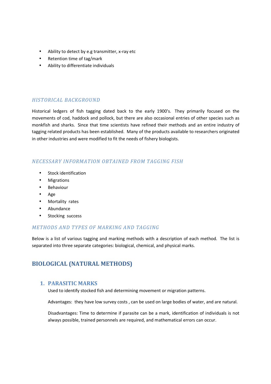- Ability to detect by e.g transmitter, x-ray etc
- Retention time of tag/mark
- Ability to differentiate individuals

### *HISTORICAL BACKGROUND*

Historical ledgers of fish tagging dated back to the early 1900's. They primarily focused on the movements of cod, haddock and pollock, but there are also occasional entries of other species such as monkfish and sharks. Since that time scientists have refined their methods and an entire industry of tagging related products has been established. Many of the products available to researchers originated in other industries and were modified to fit the needs of fishery biologists.

## *NECESSARY INFORMATION OBTAINED FROM TAGGING FISH*

- Stock identification
- **Migrations**
- Behaviour
- Age
- Mortality rates
- Abundance
- Stocking success

#### *METHODS AND TYPES OF MARKING AND TAGGING*

Below is a list of various tagging and marking methods with a description of each method. The list is separated into three separate categories: biological, chemical, and physical marks.

## **BIOLOGICAL (NATURAL METHODS)**

#### **1. PARASITIC MARKS**

Used to identify stocked fish and determining movement or migration patterns.

Advantages: they have low survey costs , can be used on large bodies of water, and are natural.

Disadvantages: Time to determine if parasite can be a mark, identification of individuals is not always possible, trained personnels are required, and mathematical errors can occur.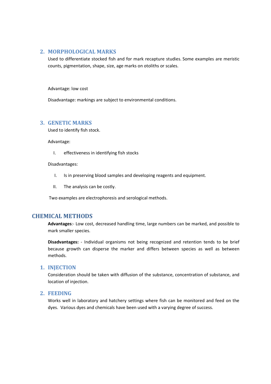#### **2. MORPHOLOGICAL MARKS**

Used to differentiate stocked fish and for mark recapture studies. Some examples are meristic counts, pigmentation, shape, size, age marks on otoliths or scales.

Advantage: low cost

Disadvantage: markings are subject to environmental conditions.

## **3. GENETIC MARKS**

Used to identify fish stock.

Advantage:

I. effectiveness in identifying fish stocks

#### Disadvantages:

- I. Is in preserving blood samples and developing reagents and equipment.
- II. The analysis can be costly.

Two examples are electrophoresis and serological methods.

#### **CHEMICAL METHODS**

**Advantages**:- Low cost, decreased handling time, large numbers can be marked, and possible to mark smaller species.

**Disadvantages:** - Individual organisms not being recognized and retention tends to be brief because growth can disperse the marker and differs between species as well as between methods.

#### **1. INJECTION**

Consideration should be taken with diffusion of the substance, concentration of substance, and location of injection.

#### **2. FEEDING**

Works well in laboratory and hatchery settings where fish can be monitored and feed on the dyes. Various dyes and chemicals have been used with a varying degree of success.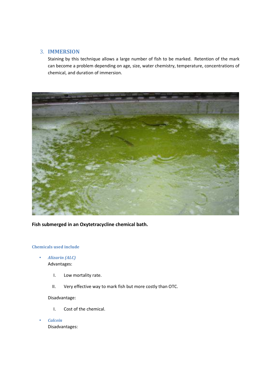## 3. **IMMERSION**

Staining by this technique allows a large number of fish to be marked. Retention of the mark can become a problem depending on age, size, water chemistry, temperature, concentrations of chemical, and duration of immersion.



**Fish submerged in an Oxytetracycline chemical bath.**

#### **Chemicals used include**

• *Alizarin (ALC)*  Advantages:

- I. Low mortality rate.
- II. Very effective way to mark fish but more costly than OTC.

Disadvantage:

- I. Cost of the chemical.
- *Calcein*  Disadvantages: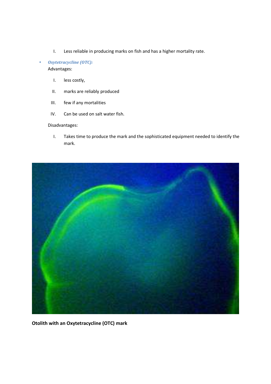I. Less reliable in producing marks on fish and has a higher mortality rate.

#### • *Oxytetracycline (OTC):*  Advantages:

- I. less costly,
- II. marks are reliably produced
- III. few if any mortalities
- IV. Can be used on salt water fish.

#### Disadvantages:

I. Takes time to produce the mark and the sophisticated equipment needed to identify the mark.



**Otolith with an Oxytetracycline (OTC) mark**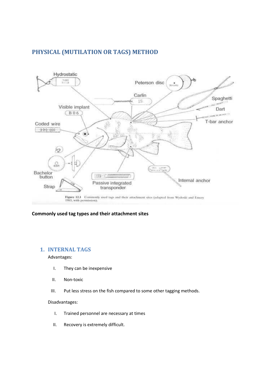## **PHYSICAL (MUTILATION OR TAGS) METHOD**



#### **Commonly used tag types and their attachment sites**

#### **1. INTERNAL TAGS**

Advantages:

- I. They can be inexpensive
- II. Non-toxic
- III. Put less stress on the fish compared to some other tagging methods.

#### Disadvantages:

- I. Trained personnel are necessary at times
- II. Recovery is extremely difficult.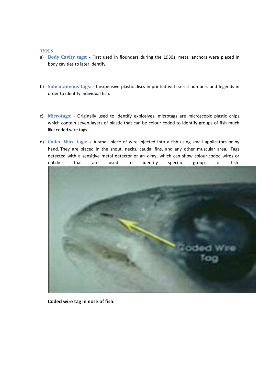#### **TYPES**

- a) **Body Cavity tags:** First used in flounders during the 1930s, metal anchors were placed in body cavities to later identify.
- b) **Subcutaneous tags**: Inexpensive plastic discs imprinted with serial numbers and legends in order to identify individual fish.
- c) **Microtags**: Originally used to identify explosives, microtags are microscopic plastic chips which contain seven layers of plastic that can be colour coded to identify groups of fish much like coded wire tags.
- d) **Coded Wire tags:** A small piece of wire injected into a fish using small applicators or by hand. They are placed in the snout, necks, caudal fins, and any other muscular area. Tags detected with a sensitive metal detector or an x-ray, which can show colour-coded wires or notches that are used to identify specific groups of fish.



**Coded wire tag in nose of fish.**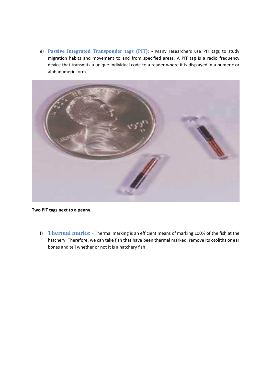e) **Passive Integrated Transponder tags (PIT): -** Many researchers use PIT tags to study migration habits and movement to and from specified areas. A PIT tag is a radio frequency device that transmits a unique individual code to a reader where it is displayed in a numeric or alphanumeric form.



**Two PIT tags next to a penny.**

f) **Thermal marks: -** Thermal marking is an efficient means of marking 100% of the fish at the hatchery. Therefore, we can take fish that have been thermal marked, remove its otoliths or ear bones and tell whether or not it is a hatchery fish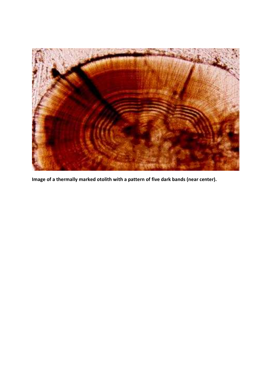

**Image of a thermally marked otolith with a pattern of five dark bands (near center).**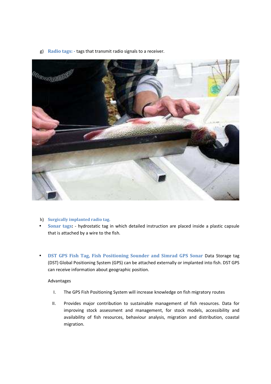g) **Radio tags: -** tags that transmit radio signals to a receiver.



- h) **Surgically implanted radio tag.**
- **Sonar tags:**  hydrostatic tag in which detailed instruction are placed inside a plastic capsule that is attached by a wire to the fish.
- **DST GPS Fish Tag, Fish Positioning Sounder and Simrad GPS Sonar** Data Storage tag (DST) Global Positioning System (GPS) can be attached externally or implanted into fish. DST GPS can receive information about geographic position.

#### Advantages

- I. The GPS Fish Positioning System will increase knowledge on fish migratory routes
- II. Provides major contribution to sustainable management of fish resources. Data for improving stock assessment and management, for stock models, accessibility and availability of fish resources, behaviour analysis, migration and distribution, coastal migration.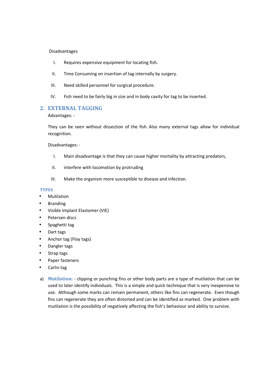#### Disadvantages

- I. Requires expensive equipment for locating fish.
- II. Time Consuming on insertion of tag internally by surgery.
- III. Need skilled personnel for surgical procedure.
- IV. Fish need to be fairly big in size and in body cavity for tag to be inserted.

### **2. EXTERNAL TAGGING**

Advantages: -

They can be seen without dissection of the fish. Also many external tags allow for individual recognition.

Disadvantages: -

- I. Main disadvantage is that they can cause higher mortality by attracting predators,
- II. interfere with locomotion by protruding
- III. Make the organism more susceptible to disease and infection.

#### **TYPES**

- **Mutilation**
- **Branding**
- Visible Implant Elastomer (VIE)
- Petersen discs
- Spaghetti tag
- Dart tags
- Anchor tag (Floy tags)
- Dangler tags
- Strap tags
- Paper fasteners
- Carlin tag
- a) **Mutilation:** clipping or punching fins or other body parts are a type of mutilation that can be used to later identify individuals. This is a simple and quick technique that is very inexpensive to use. Although some marks can remain permanent, others like fins can regenerate. Even though fins can regenerate they are often distorted and can be identified as marked. One problem with mutilation is the possibility of negatively affecting the fish's behaviour and ability to survive.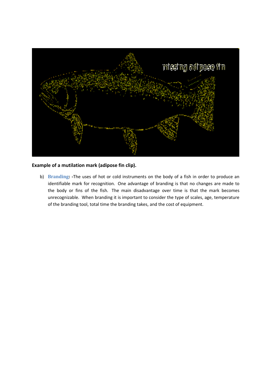

#### **Example of a mutilation mark (adipose fin clip).**

b) **Branding: -**The uses of hot or cold instruments on the body of a fish in order to produce an identifiable mark for recognition. One advantage of branding is that no changes are made to the body or fins of the fish. The main disadvantage over time is that the mark becomes unrecognizable. When branding it is important to consider the type of scales, age, temperature of the branding tool, total time the branding takes, and the cost of equipment.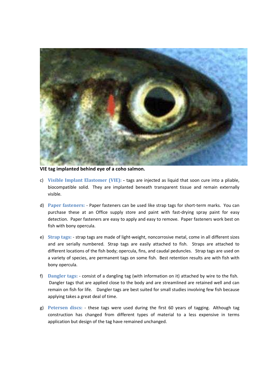

**VIE tag implanted behind eye of a coho salmon.**

- c) **Visible Implant Elastomer (VIE):** tags are injected as liquid that soon cure into a pliable, biocompatible solid. They are implanted beneath transparent tissue and remain externally visible.
- d) **Paper fasteners:** Paper fasteners can be used like strap tags for short-term marks. You can purchase these at an Office supply store and paint with fast-drying spray paint for easy detection. Paper fasteners are easy to apply and easy to remove. Paper fasteners work best on fish with bony opercula.
- e) **Strap tags:** strap tags are made of light-weight, noncorrosive metal, come in all different sizes and are serially numbered. Strap tags are easily attached to fish. Straps are attached to different locations of the fish body; opercula, fins, and caudal peduncles. Strap tags are used on a variety of species, are permanent tags on some fish. Best retention results are with fish with bony opercula.
- f) **Dangler tags:** consist of a dangling tag (with information on it) attached by wire to the fish. Dangler tags that are applied close to the body and are streamlined are retained well and can remain on fish for life. Dangler tags are best suited for small studies involving few fish because applying takes a great deal of time.
- g) **Petersen discs:** these tags were used during the first 60 years of tagging. Although tag construction has changed from different types of material to a less expensive in terms application but design of the tag have remained unchanged.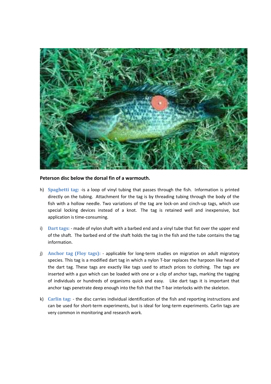

#### **Peterson disc below the dorsal fin of a warmouth.**

- h) **Spaghetti tag:** -is a loop of vinyl tubing that passes through the fish. Information is printed directly on the tubing. Attachment for the tag is by threading tubing through the body of the fish with a hollow needle. Two variations of the tag are lock-on and cinch-up tags, which use special locking devices instead of a knot. The tag is retained well and inexpensive, but application is time-consuming.
- i) **Dart tags:** made of nylon shaft with a barbed end and a vinyl tube that fist over the upper end of the shaft. The barbed end of the shaft holds the tag in the fish and the tube contains the tag information.
- j) **Anchor tag (Floy tags):** applicable for long-term studies on migration on adult migratory species. This tag is a modified dart tag in which a nylon T-bar replaces the harpoon like head of the dart tag. These tags are exactly like tags used to attach prices to clothing. The tags are inserted with a gun which can be loaded with one or a clip of anchor tags, marking the tagging of individuals or hundreds of organisms quick and easy. Like dart tags it is important that anchor tags penetrate deep enough into the fish that the T-bar interlocks with the skeleton.
- k) **Carlin tag:** the disc carries individual identification of the fish and reporting instructions and can be used for short-term experiments, but is ideal for long-term experiments. Carlin tags are very common in monitoring and research work.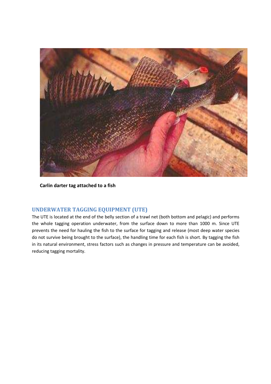

**Carlin darter tag attached to a fish** 

## **UNDERWATER TAGGING EQUIPMENT (UTE)**

The UTE is located at the end of the belly section of a trawl net (both bottom and pelagic) and performs the whole tagging operation underwater, from the surface down to more than 1000 m. Since UTE prevents the need for hauling the fish to the surface for tagging and release (most deep water species do not survive being brought to the surface), the handling time for each fish is short. By tagging the fish in its natural environment, stress factors such as changes in pressure and temperature can be avoided, reducing tagging mortality.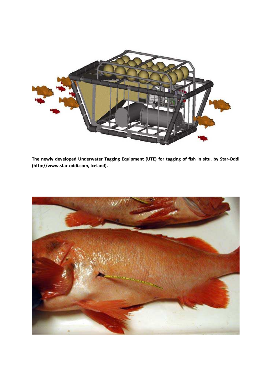

**The newly developed Underwater Tagging Equipment (UTE) for tagging of fish in situ, by Star-Oddi (http://www.star-oddi.com, Iceland).**

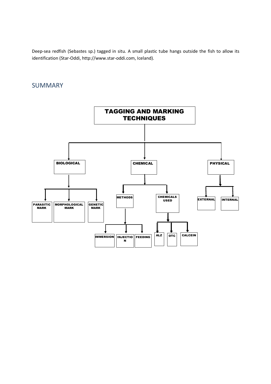Deep-sea redfish (Sebastes sp.) tagged in situ. A small plastic tube hangs outside the fish to allow its identification (Star-Oddi, http://www.star-oddi.com, Iceland).

## SUMMARY

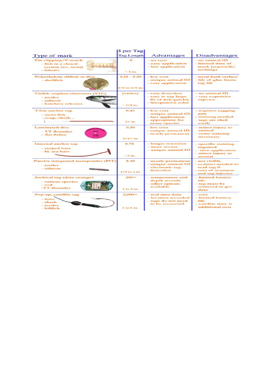|                                                                                 | \$ per Tag                          |                                                                                      |                                                                     |
|---------------------------------------------------------------------------------|-------------------------------------|--------------------------------------------------------------------------------------|---------------------------------------------------------------------|
| Type of mark                                                                    | <b>Tag Length</b>                   | Advantages                                                                           | Disadvantages                                                       |
| Fin clipping/V-notch<br>- fish in a closed<br>system (ex. trout)<br>- lobster   | 631                                 | $-$ no cost<br>- easy application<br>- fast application                              | - no animal ID<br>- limited time of<br>mark (regrowth/<br>molting)  |
|                                                                                 | $-1$ in.                            |                                                                                      |                                                                     |
| Polyethylene ribbon or disc<br>- shellfish                                      | $0.15 - 0.20$<br>$1/8$ to $3/4$ in. | $-$ low cost<br>- unique animal ID<br>- easy application                             | - need hard surface<br>- life of glue limits<br>tag life            |
|                                                                                 |                                     |                                                                                      |                                                                     |
| Visible implant elastomer (VIE)<br>- turtles<br>- salmon<br>- hatchery releases | (varies)<br>$-1/4$ in.              | - easy detection<br>- easy to tag large<br>#s of fish quickly<br>- inexpensive color | - no animal ID<br>- very expensive<br>injector                      |
| T-bar anchor tag<br>- most fish                                                 | 0.45                                | $-$ low cost<br>- unique animal ID<br>- fast application                             | - requires tagging<br>grum<br>- training needed                     |
| - scup, shark                                                                   | $2 + im.$                           | - appropriate for<br>many species                                                    | - tags are shed<br>easily                                           |
| <b>Laminated disc</b><br>- YT flounder<br>- flat fishes                         | 0.50<br>$3/4 + im.$                 | $-$ low cost<br>- unique animal ID<br>- nearly permanent                             | - minor injury to<br>animal<br>- some training<br>necessary         |
| Internal anchor tag                                                             | 0.75                                | - longer retention                                                                   | - specific training                                                 |
| - striped bass<br>- bl. sea bass                                                | $-3$ in.                            | - more secure<br>- unique animal ID                                                  | required<br>- slow application<br>- minor injury to<br>animal       |
| Passive integrated transponder (PIT)<br>- turtles                               | $5 - 10$                            | - nearly permanent<br>- unique animal ID                                             | - not visible<br>- scanner needed to                                |
| - salmon                                                                        | $1/2$ to $1$ in.                    | - electronic tag<br>detection                                                        | read tag #<br>- cost of scanners<br>and tag injector                |
| Archival tag (data storage)<br>- various species<br>$-$ cod                     | $200 +$                             | - temperature and<br>depth records<br>- other options                                | - limited battery<br><b>life</b><br>- tag must be                   |
| -YT flounder                                                                    | $1$ to $2$ in.                      | available                                                                            | retrieved to get<br>change                                          |
| Pop-up, satellite tag<br>$-$ tuna<br>- shark<br>- turtles                       | $2,000+$                            | - real time data<br>- location recorded<br>- tags do not need<br>to be recovered     | $-$ cost<br>- limited battery<br><b>Hife</b><br>- satellite time is |
| - billfish                                                                      | $2$ to 6 in.                        |                                                                                      | additional cost                                                     |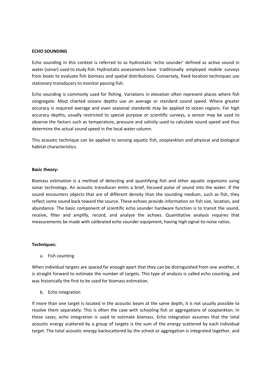#### **ECHO SOUNDING**

Echo sounding in this context is referred to as hydrostatic 'echo sounder' defined as active sound in water (sonar) used to study fish. Hydrostatic assessments have traditionally employed mobile surveys from boats to evaluate fish biomass and spatial distributions. Conversely, fixed location techniques use stationary transducers to monitor passing fish.

Echo sounding is commonly used for fishing. Variations in elevation often represent places where fish congregate. Most charted oceans depths use an average or standard sound speed. Where greater accuracy is required average and even seasonal standards may be applied to ocean regions. For high accuracy depths, usually restricted to special purpose or scientific surveys, a sensor may be used to observe the factors such as temperature, pressure and salinity used to calculate sound speed and thus determine the actual sound speed in the local water column.

This acoustic technique can be applied to sensing aquatic fish, zooplankton and physical and biological habitat characteristics.

#### **Basic theory:**

Biomass estimation is a method of detecting and quantifying fish and other aquatic organisms using sonar technology. An acoustic transducer emits a brief, focused pulse of sound into the water. If the sound encounters objects that are of different density than the sounding medium, such as fish, they reflect some sound back toward the source. These echoes provide information on fish size, location, and abundance. The basic component of scientific echo sounder hardware function is to transit the sound, receive, filter and amplify, record, and analyse the echoes. Quantitative analysis requires that measurements be made with calibrated echo sounder equipment, having high signal-to-noise ratios.

#### **Techniques:**

a. Fish counting

When individual targets are spaced far enough apart that they can be distinguished from one another, it is straight forward to estimate the number of targets. This type of analysis is called echo counting, and was historically the first to be used for biomass estimation.

b. Echo integration

If more than one target is located in the acoustic beam at the same depth, it is not usually possible to resolve them separately. This is often the case with schooling fish or aggregations of zooplankton. In these cases, echo integration is used to estimate biomass. Echo integration assumes that the total acoustic energy scattered by a group of targets is the sum of the energy scattered by each individual target. The total acoustic energy backscattered by the school or aggregation is integrated together, and